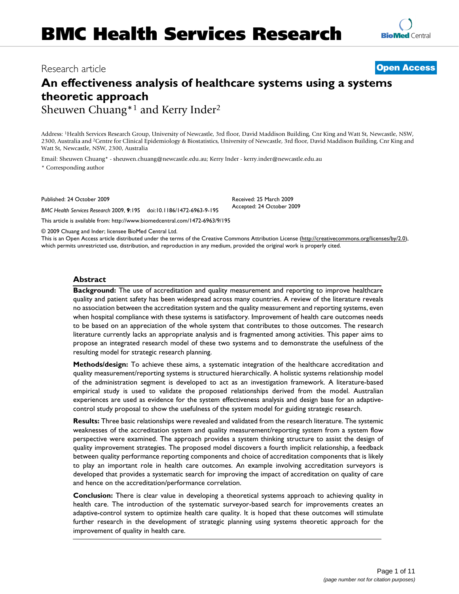**[BioMed](http://www.biomedcentral.com/)** Central

# **An effectiveness analysis of healthcare systems using a systems theoretic approach**

Sheuwen Chuang\*1 and Kerry Inder2

Address: 1Health Services Research Group, University of Newcastle, 3rd floor, David Maddison Building, Cnr King and Watt St, Newcastle, NSW, 2300, Australia and <sup>2</sup>Centre for Clinical Epidemiology & Biostatistics, University of Newcastle, 3rd floor, David Maddison Building, Cnr King and Watt St, Newcastle, NSW, 2300, Australia

> Received: 25 March 2009 Accepted: 24 October 2009

Email: Sheuwen Chuang\* - sheuwen.chuang@newcastle.edu.au; Kerry Inder - kerry.inder@newcastle.edu.au \* Corresponding author

Published: 24 October 2009

*BMC Health Services Research* 2009, **9**:195 doi:10.1186/1472-6963-9-195

[This article is available from: http://www.biomedcentral.com/1472-6963/9/195](http://www.biomedcentral.com/1472-6963/9/195)

© 2009 Chuang and Inder; licensee BioMed Central Ltd.

This is an Open Access article distributed under the terms of the Creative Commons Attribution License [\(http://creativecommons.org/licenses/by/2.0\)](http://creativecommons.org/licenses/by/2.0), which permits unrestricted use, distribution, and reproduction in any medium, provided the original work is properly cited.

#### **Abstract**

**Background:** The use of accreditation and quality measurement and reporting to improve healthcare quality and patient safety has been widespread across many countries. A review of the literature reveals no association between the accreditation system and the quality measurement and reporting systems, even when hospital compliance with these systems is satisfactory. Improvement of health care outcomes needs to be based on an appreciation of the whole system that contributes to those outcomes. The research literature currently lacks an appropriate analysis and is fragmented among activities. This paper aims to propose an integrated research model of these two systems and to demonstrate the usefulness of the resulting model for strategic research planning.

**Methods/design:** To achieve these aims, a systematic integration of the healthcare accreditation and quality measurement/reporting systems is structured hierarchically. A holistic systems relationship model of the administration segment is developed to act as an investigation framework. A literature-based empirical study is used to validate the proposed relationships derived from the model. Australian experiences are used as evidence for the system effectiveness analysis and design base for an adaptivecontrol study proposal to show the usefulness of the system model for guiding strategic research.

**Results:** Three basic relationships were revealed and validated from the research literature. The systemic weaknesses of the accreditation system and quality measurement/reporting system from a system flow perspective were examined. The approach provides a system thinking structure to assist the design of quality improvement strategies. The proposed model discovers a fourth implicit relationship, a feedback between quality performance reporting components and choice of accreditation components that is likely to play an important role in health care outcomes. An example involving accreditation surveyors is developed that provides a systematic search for improving the impact of accreditation on quality of care and hence on the accreditation/performance correlation.

**Conclusion:** There is clear value in developing a theoretical systems approach to achieving quality in health care. The introduction of the systematic surveyor-based search for improvements creates an adaptive-control system to optimize health care quality. It is hoped that these outcomes will stimulate further research in the development of strategic planning using systems theoretic approach for the improvement of quality in health care.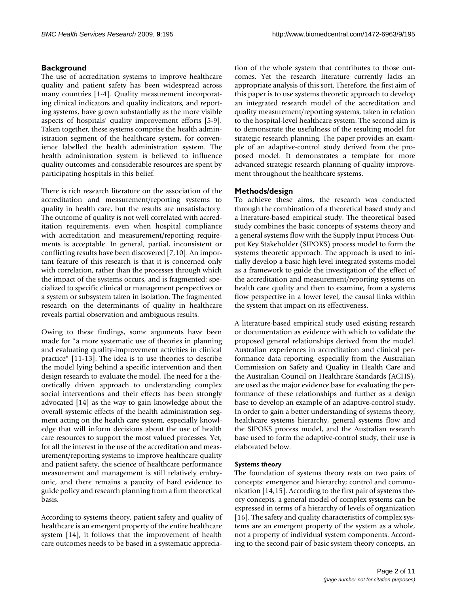# **Background**

The use of accreditation systems to improve healthcare quality and patient safety has been widespread across many countries [1-4]. Quality measurement incorporating clinical indicators and quality indicators, and reporting systems, have grown substantially as the more visible aspects of hospitals' quality improvement efforts [5-9]. Taken together, these systems comprise the health administration segment of the healthcare system, for convenience labelled the health administration system. The health administration system is believed to influence quality outcomes and considerable resources are spent by participating hospitals in this belief.

There is rich research literature on the association of the accreditation and measurement/reporting systems to quality in health care, but the results are unsatisfactory. The outcome of quality is not well correlated with accreditation requirements, even when hospital compliance with accreditation and measurement/reporting requirements is acceptable. In general, partial, inconsistent or conflicting results have been discovered [7,10]. An important feature of this research is that it is concerned only with correlation, rather than the processes through which the impact of the systems occurs, and is fragmented: specialized to specific clinical or management perspectives or a system or subsystem taken in isolation. The fragmented research on the determinants of quality in healthcare reveals partial observation and ambiguous results.

Owing to these findings, some arguments have been made for "a more systematic use of theories in planning and evaluating quality-improvement activities in clinical practice" [11-13]. The idea is to use theories to describe the model lying behind a specific intervention and then design research to evaluate the model. The need for a theoretically driven approach to understanding complex social interventions and their effects has been strongly advocated [14] as the way to gain knowledge about the overall systemic effects of the health administration segment acting on the health care system, especially knowledge that will inform decisions about the use of health care resources to support the most valued processes. Yet, for all the interest in the use of the accreditation and measurement/reporting systems to improve healthcare quality and patient safety, the science of healthcare performance measurement and management is still relatively embryonic, and there remains a paucity of hard evidence to guide policy and research planning from a firm theoretical basis.

According to systems theory, patient safety and quality of healthcare is an emergent property of the entire healthcare system [14], it follows that the improvement of health care outcomes needs to be based in a systematic appreciation of the whole system that contributes to those outcomes. Yet the research literature currently lacks an appropriate analysis of this sort. Therefore, the first aim of this paper is to use systems theoretic approach to develop an integrated research model of the accreditation and quality measurement/reporting systems, taken in relation to the hospital-level healthcare system. The second aim is to demonstrate the usefulness of the resulting model for strategic research planning. The paper provides an example of an adaptive-control study derived from the proposed model. It demonstrates a template for more advanced strategic research planning of quality improvement throughout the healthcare systems.

# **Methods/design**

To achieve these aims, the research was conducted through the combination of a theoretical based study and a literature-based empirical study. The theoretical based study combines the basic concepts of systems theory and a general systems flow with the Supply Input Process Output Key Stakeholder (SIPOKS) process model to form the systems theoretic approach. The approach is used to initially develop a basic high level integrated systems model as a framework to guide the investigation of the effect of the accreditation and measurement/reporting systems on health care quality and then to examine, from a systems flow perspective in a lower level, the causal links within the system that impact on its effectiveness.

A literature-based empirical study used existing research or documentation as evidence with which to validate the proposed general relationships derived from the model. Australian experiences in accreditation and clinical performance data reporting, especially from the Australian Commission on Safety and Quality in Health Care and the Australian Council on Healthcare Standards (ACHS), are used as the major evidence base for evaluating the performance of these relationships and further as a design base to develop an example of an adaptive-control study. In order to gain a better understanding of systems theory, healthcare systems hierarchy, general systems flow and the SIPOKS process model, and the Australian research base used to form the adaptive-control study, their use is elaborated below.

#### *Systems theory*

The foundation of systems theory rests on two pairs of concepts: emergence and hierarchy; control and communication [14,15]. According to the first pair of systems theory concepts, a general model of complex systems can be expressed in terms of a hierarchy of levels of organization [16]. The safety and quality characteristics of complex systems are an emergent property of the system as a whole, not a property of individual system components. According to the second pair of basic system theory concepts, an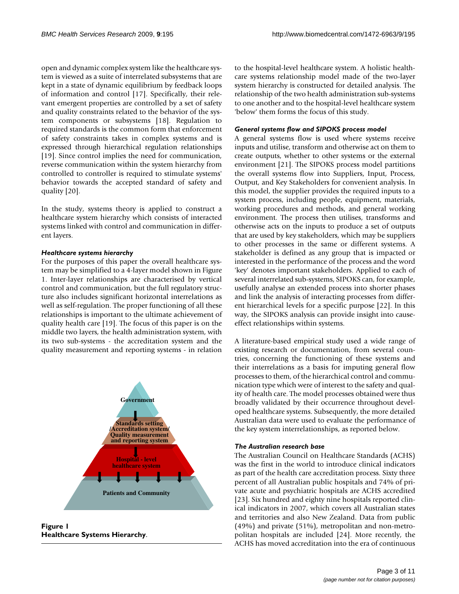open and dynamic complex system like the healthcare system is viewed as a suite of interrelated subsystems that are kept in a state of dynamic equilibrium by feedback loops of information and control [17]. Specifically, their relevant emergent properties are controlled by a set of safety and quality constraints related to the behavior of the system components or subsystems [18]. Regulation to required standards is the common form that enforcement of safety constraints takes in complex systems and is expressed through hierarchical regulation relationships [19]. Since control implies the need for communication, reverse communication within the system hierarchy from controlled to controller is required to stimulate systems' behavior towards the accepted standard of safety and quality [20].

In the study, systems theory is applied to construct a healthcare system hierarchy which consists of interacted systems linked with control and communication in different layers.

# *Healthcare systems hierarchy*

For the purposes of this paper the overall healthcare system may be simplified to a 4-layer model shown in Figure 1. Inter-layer relationships are characterised by vertical control and communication, but the full regulatory structure also includes significant horizontal interrelations as well as self-regulation. The proper functioning of all these relationships is important to the ultimate achievement of quality health care [19]. The focus of this paper is on the middle two layers, the health administration system, with its two sub-systems - the accreditation system and the quality measurement and reporting systems - in relation



**Figure 1 Healthcare Systems Hierarchy**.

to the hospital-level healthcare system. A holistic healthcare systems relationship model made of the two-layer system hierarchy is constructed for detailed analysis. The relationship of the two health administration sub-systems to one another and to the hospital-level healthcare system 'below' them forms the focus of this study.

# *General systems flow and SIPOKS process model*

A general systems flow is used where systems receive inputs and utilise, transform and otherwise act on them to create outputs, whether to other systems or the external environment [21]. The SIPOKS process model partitions the overall systems flow into Suppliers, Input, Process, Output, and Key Stakeholders for convenient analysis. In this model, the supplier provides the required inputs to a system process, including people, equipment, materials, working procedures and methods, and general working environment. The process then utilises, transforms and otherwise acts on the inputs to produce a set of outputs that are used by key stakeholders, which may be suppliers to other processes in the same or different systems. A stakeholder is defined as any group that is impacted or interested in the performance of the process and the word 'key' denotes important stakeholders. Applied to each of several interrelated sub-systems, SIPOKS can, for example, usefully analyse an extended process into shorter phases and link the analysis of interacting processes from different hierarchical levels for a specific purpose [22]. In this way, the SIPOKS analysis can provide insight into causeeffect relationships within systems.

A literature-based empirical study used a wide range of existing research or documentation, from several countries, concerning the functioning of these systems and their interrelations as a basis for imputing general flow processes to them, of the hierarchical control and communication type which were of interest to the safety and quality of health care. The model processes obtained were thus broadly validated by their occurrence throughout developed healthcare systems. Subsequently, the more detailed Australian data were used to evaluate the performance of the key system interrelationships, as reported below.

#### *The Australian research base*

The Australian Council on Healthcare Standards (ACHS) was the first in the world to introduce clinical indicators as part of the health care accreditation process. Sixty three percent of all Australian public hospitals and 74% of private acute and psychiatric hospitals are ACHS accredited [23]. Six hundred and eighty nine hospitals reported clinical indicators in 2007, which covers all Australian states and territories and also New Zealand. Data from public (49%) and private (51%), metropolitan and non-metropolitan hospitals are included [24]. More recently, the ACHS has moved accreditation into the era of continuous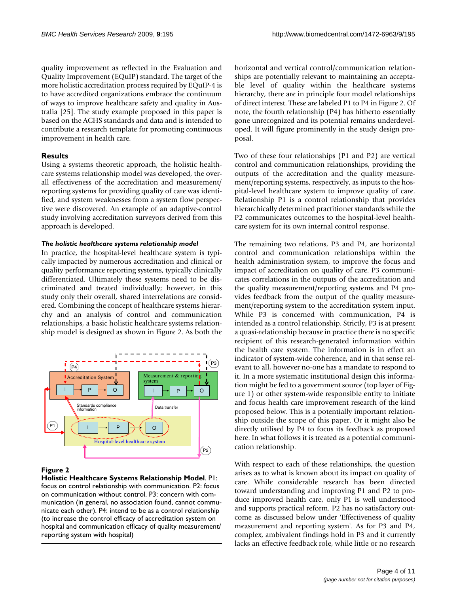quality improvement as reflected in the Evaluation and Quality Improvement (EQuIP) standard. The target of the more holistic accreditation process required by EQuIP-4 is to have accredited organizations embrace the continuum of ways to improve healthcare safety and quality in Australia [25]. The study example proposed in this paper is based on the ACHS standards and data and is intended to contribute a research template for promoting continuous improvement in health care.

# **Results**

Using a systems theoretic approach, the holistic healthcare systems relationship model was developed, the overall effectiveness of the accreditation and measurement/ reporting systems for providing quality of care was identified, and system weaknesses from a system flow perspective were discovered. An example of an adaptive-control study involving accreditation surveyors derived from this approach is developed.

#### *The holistic healthcare systems relationship model*

In practice, the hospital-level healthcare system is typically impacted by numerous accreditation and clinical or quality performance reporting systems, typically clinically differentiated. Ultimately these systems need to be discriminated and treated individually; however, in this study only their overall, shared interrelations are considered. Combining the concept of healthcare systems hierarchy and an analysis of control and communication relationships, a basic holistic healthcare systems relationship model is designed as shown in Figure 2. As both the



# Figure 2

**Holistic Healthcare Systems Relationship Model**. P1: focus on control relationship with communication. P2: focus on communication without control. P3: concern with communication (in general, no association found, cannot communicate each other). P4: intend to be as a control relationship (to increase the control efficacy of accreditation system on hospital and communication efficacy of quality measurement/ reporting system with hospital)

horizontal and vertical control/communication relationships are potentially relevant to maintaining an acceptable level of quality within the healthcare systems hierarchy, there are in principle four model relationships of direct interest. These are labeled P1 to P4 in Figure 2. Of note, the fourth relationship (P4) has hitherto essentially gone unrecognized and its potential remains underdeveloped. It will figure prominently in the study design proposal.

Two of these four relationships (P1 and P2) are vertical control and communication relationships, providing the outputs of the accreditation and the quality measurement/reporting systems, respectively, as inputs to the hospital-level healthcare system to improve quality of care. Relationship P1 is a control relationship that provides hierarchically determined practitioner standards while the P2 communicates outcomes to the hospital-level healthcare system for its own internal control response.

The remaining two relations, P3 and P4, are horizontal control and communication relationships within the health administration system, to improve the focus and impact of accreditation on quality of care. P3 communicates correlations in the outputs of the accreditation and the quality measurement/reporting systems and P4 provides feedback from the output of the quality measurement/reporting system to the accreditation system input. While P3 is concerned with communication, P4 is intended as a control relationship. Strictly, P3 is at present a quasi-relationship because in practice there is no specific recipient of this research-generated information within the health care system. The information is in effect an indicator of system-wide coherence, and in that sense relevant to all, however no-one has a mandate to respond to it. In a more systematic institutional design this information might be fed to a government source (top layer of Figure 1) or other system-wide responsible entity to initiate and focus health care improvement research of the kind proposed below. This is a potentially important relationship outside the scope of this paper. Or it might also be directly utilised by P4 to focus its feedback as proposed here. In what follows it is treated as a potential communication relationship.

With respect to each of these relationships, the question arises as to what is known about its impact on quality of care. While considerable research has been directed toward understanding and improving P1 and P2 to produce improved health care, only P1 is well understood and supports practical reform. P2 has no satisfactory outcome as discussed below under 'Effectiveness of quality measurement and reporting system'. As for P3 and P4, complex, ambivalent findings hold in P3 and it currently lacks an effective feedback role, while little or no research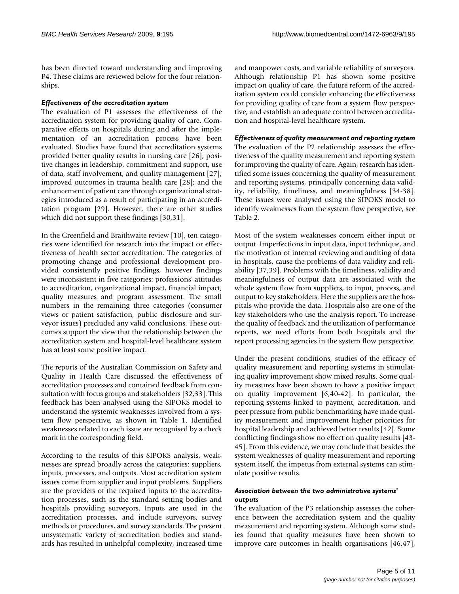has been directed toward understanding and improving P4. These claims are reviewed below for the four relationships.

# *Effectiveness of the accreditation system*

The evaluation of P1 assesses the effectiveness of the accreditation system for providing quality of care. Comparative effects on hospitals during and after the implementation of an accreditation process have been evaluated. Studies have found that accreditation systems provided better quality results in nursing care [26]; positive changes in leadership, commitment and support, use of data, staff involvement, and quality management [27]; improved outcomes in trauma health care [28]; and the enhancement of patient care through organizational strategies introduced as a result of participating in an accreditation program [29]. However, there are other studies which did not support these findings [30,31].

In the Greenfield and Braithwaite review [10], ten categories were identified for research into the impact or effectiveness of health sector accreditation. The categories of promoting change and professional development provided consistently positive findings, however findings were inconsistent in five categories: professions' attitudes to accreditation, organizational impact, financial impact, quality measures and program assessment. The small numbers in the remaining three categories (consumer views or patient satisfaction, public disclosure and surveyor issues) precluded any valid conclusions. These outcomes support the view that the relationship between the accreditation system and hospital-level healthcare system has at least some positive impact.

The reports of the Australian Commission on Safety and Quality in Health Care discussed the effectiveness of accreditation processes and contained feedback from consultation with focus groups and stakeholders [32,33]. This feedback has been analysed using the SIPOKS model to understand the systemic weaknesses involved from a system flow perspective, as shown in Table 1. Identified weaknesses related to each issue are recognised by a check mark in the corresponding field.

According to the results of this SIPOKS analysis, weaknesses are spread broadly across the categories: suppliers, inputs, processes, and outputs. Most accreditation system issues come from supplier and input problems. Suppliers are the providers of the required inputs to the accreditation processes, such as the standard setting bodies and hospitals providing surveyors. Inputs are used in the accreditation processes, and include surveyors, survey methods or procedures, and survey standards. The present unsystematic variety of accreditation bodies and standards has resulted in unhelpful complexity, increased time and manpower costs, and variable reliability of surveyors. Although relationship P1 has shown some positive impact on quality of care, the future reform of the accreditation system could consider enhancing the effectiveness for providing quality of care from a system flow perspective, and establish an adequate control between accreditation and hospital-level healthcare system.

# *Effectiveness of quality measurement and reporting system*

The evaluation of the P2 relationship assesses the effectiveness of the quality measurement and reporting system for improving the quality of care. Again, research has identified some issues concerning the quality of measurement and reporting systems, principally concerning data validity, reliability, timeliness, and meaningfulness [34-38]. These issues were analysed using the SIPOKS model to identify weaknesses from the system flow perspective, see Table 2.

Most of the system weaknesses concern either input or output. Imperfections in input data, input technique, and the motivation of internal reviewing and auditing of data in hospitals, cause the problems of data validity and reliability [37,39]. Problems with the timeliness, validity and meaningfulness of output data are associated with the whole system flow from suppliers, to input, process, and output to key stakeholders. Here the suppliers are the hospitals who provide the data. Hospitals also are one of the key stakeholders who use the analysis report. To increase the quality of feedback and the utilization of performance reports, we need efforts from both hospitals and the report processing agencies in the system flow perspective.

Under the present conditions, studies of the efficacy of quality measurement and reporting systems in stimulating quality improvement show mixed results. Some quality measures have been shown to have a positive impact on quality improvement [6,40-42]. In particular, the reporting systems linked to payment, accreditation, and peer pressure from public benchmarking have made quality measurement and improvement higher priorities for hospital leadership and achieved better results [42]. Some conflicting findings show no effect on quality results [43- 45]. From this evidence, we may conclude that besides the system weaknesses of quality measurement and reporting system itself, the impetus from external systems can stimulate positive results.

# *Association between the two administrative systems' outputs*

The evaluation of the P3 relationship assesses the coherence between the accreditation system and the quality measurement and reporting system. Although some studies found that quality measures have been shown to improve care outcomes in health organisations [46,47],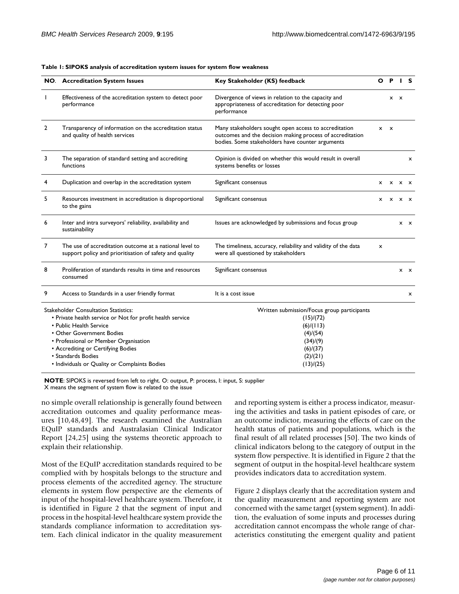|                                                                                                                                                                                                                                                                       | NO. Accreditation System Issues                                                                                    | Key Stakeholder (KS) feedback                                                                                                                                          | O | - P        |                 | IS.          |
|-----------------------------------------------------------------------------------------------------------------------------------------------------------------------------------------------------------------------------------------------------------------------|--------------------------------------------------------------------------------------------------------------------|------------------------------------------------------------------------------------------------------------------------------------------------------------------------|---|------------|-----------------|--------------|
|                                                                                                                                                                                                                                                                       | Effectiveness of the accreditation system to detect poor<br>performance                                            | Divergence of views in relation to the capacity and<br>appropriateness of accreditation for detecting poor<br>performance                                              |   |            | $x \times$      |              |
| 2                                                                                                                                                                                                                                                                     | Transparency of information on the accreditation status<br>and quality of health services                          | Many stakeholders sought open access to accreditation<br>outcomes and the decision making process of accreditation<br>bodies. Some stakeholders have counter arguments |   | $x \times$ |                 |              |
| 3                                                                                                                                                                                                                                                                     | The separation of standard setting and accrediting<br>functions                                                    | Opinion is divided on whether this would result in overall<br>systems benefits or losses                                                                               |   |            |                 | x            |
| 4                                                                                                                                                                                                                                                                     | Duplication and overlap in the accreditation system                                                                | Significant consensus                                                                                                                                                  |   |            | $X$ $X$ $X$ $X$ |              |
| 5                                                                                                                                                                                                                                                                     | Resources investment in accreditation is disproportional<br>to the gains                                           | Significant consensus                                                                                                                                                  | x |            | $x \times x$    |              |
| 6                                                                                                                                                                                                                                                                     | Inter and intra surveyors' reliability, availability and<br>sustainability                                         | Issues are acknowledged by submissions and focus group                                                                                                                 |   |            |                 | $x \times$   |
| 7                                                                                                                                                                                                                                                                     | The use of accreditation outcome at a national level to<br>support policy and prioritisation of safety and quality | The timeliness, accuracy, reliability and validity of the data<br>were all questioned by stakeholders                                                                  | x |            |                 |              |
| 8                                                                                                                                                                                                                                                                     | Proliferation of standards results in time and resources<br>consumed                                               | Significant consensus                                                                                                                                                  |   |            |                 | $x \times$   |
| 9                                                                                                                                                                                                                                                                     | Access to Standards in a user friendly format                                                                      | It is a cost issue                                                                                                                                                     |   |            |                 | $\mathsf{x}$ |
| <b>Stakeholder Consultation Statistics:</b><br>• Private health service or Not for profit health service<br>• Public Health Service<br>• Other Government Bodies<br>• Professional or Member Organisation<br>• Accrediting or Certifying Bodies<br>• Standards Bodies |                                                                                                                    | Written submission/Focus group participants<br>(15)/(72)<br>(6)/(113)<br>(4)/(54)<br>(34)/(9)<br>(6)/(37)<br>(2)/(21)                                                  |   |            |                 |              |
| • Individuals or Quality or Complaints Bodies                                                                                                                                                                                                                         |                                                                                                                    | (13)/(25)                                                                                                                                                              |   |            |                 |              |

**Table 1: SIPOKS analysis of accreditation system issues for system flow weakness**

**NOTE**: SIPOKS is reversed from left to right. O: output, P: process, I: input, S: supplier X means the segment of system flow is related to the issue

no simple overall relationship is generally found between accreditation outcomes and quality performance measures [10,48,49]. The research examined the Australian EQuIP standards and Australasian Clinical Indicator Report [24,25] using the systems theoretic approach to explain their relationship.

Most of the EQuIP accreditation standards required to be complied with by hospitals belongs to the structure and process elements of the accredited agency. The structure elements in system flow perspective are the elements of input of the hospital-level healthcare system. Therefore, it is identified in Figure 2 that the segment of input and process in the hospital-level healthcare system provide the standards compliance information to accreditation system. Each clinical indicator in the quality measurement and reporting system is either a process indicator, measuring the activities and tasks in patient episodes of care, or an outcome indictor, measuring the effects of care on the health status of patients and populations, which is the final result of all related processes [50]. The two kinds of clinical indicators belong to the category of output in the system flow perspective. It is identified in Figure 2 that the segment of output in the hospital-level healthcare system provides indicators data to accreditation system.

Figure 2 displays clearly that the accreditation system and the quality measurement and reporting system are not concerned with the same target (system segment). In addition, the evaluation of some inputs and processes during accreditation cannot encompass the whole range of characteristics constituting the emergent quality and patient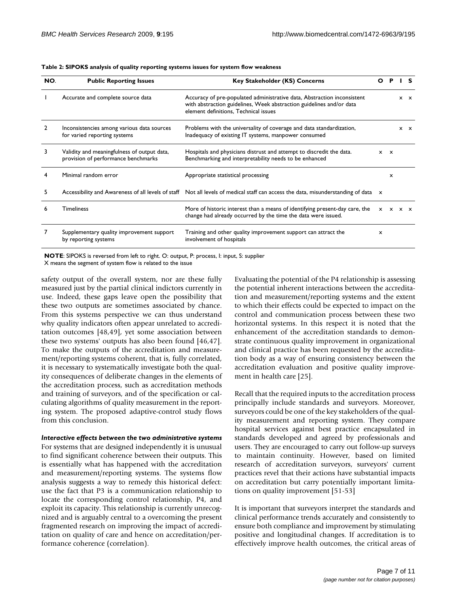| NO. | <b>Public Reporting Issues</b>                                                     | <b>Key Stakeholder (KS) Concerns</b>                                                                                                                                                     | Ω |                       |            |
|-----|------------------------------------------------------------------------------------|------------------------------------------------------------------------------------------------------------------------------------------------------------------------------------------|---|-----------------------|------------|
|     | Accurate and complete source data                                                  | Accuracy of pre-populated administrative data, Abstraction inconsistent<br>with abstraction guidelines, Week abstraction guidelines and/or data<br>element definitions, Technical issues |   |                       | $x \times$ |
| 2   | Inconsistencies among various data sources<br>for varied reporting systems         | Problems with the universality of coverage and data standardization,<br>Inadequacy of existing IT systems, manpower consumed                                                             |   |                       | $x \times$ |
| 3.  | Validity and meaningfulness of output data,<br>provision of performance benchmarks | Hospitals and physicians distrust and attempt to discredit the data.<br>Benchmarking and interpretability needs to be enhanced                                                           |   | $x \times$            |            |
|     | Minimal random error                                                               | Appropriate statistical processing                                                                                                                                                       |   | x                     |            |
| 5.  |                                                                                    | Accessibility and Awareness of all levels of staff Not all levels of medical staff can access the data, misunderstanding of data x                                                       |   |                       |            |
| ь   | <b>Timeliness</b>                                                                  | More of historic interest than a means of identifying present-day care, the<br>change had already occurred by the time the data were issued.                                             |   | $x \times x \times x$ |            |
|     | Supplementary quality improvement support<br>by reporting systems                  | Training and other quality improvement support can attract the<br>involvement of hospitals                                                                                               | x |                       |            |

**Table 2: SIPOKS analysis of quality reporting systems issues for system flow weakness**

**NOTE**: SIPOKS is reversed from left to right. O: output, P: process, I: input, S: supplier X means the segment of system flow is related to the issue

safety output of the overall system, nor are these fully measured just by the partial clinical indictors currently in use. Indeed, these gaps leave open the possibility that these two outputs are sometimes associated by chance. From this systems perspective we can thus understand why quality indicators often appear unrelated to accreditation outcomes [48,49], yet some association between these two systems' outputs has also been found [46,47]. To make the outputs of the accreditation and measurement/reporting systems coherent, that is, fully correlated, it is necessary to systematically investigate both the quality consequences of deliberate changes in the elements of the accreditation process, such as accreditation methods and training of surveyors, and of the specification or calculating algorithms of quality measurement in the reporting system. The proposed adaptive-control study flows from this conclusion.

*Interactive effects between the two administrative systems* For systems that are designed independently it is unusual to find significant coherence between their outputs. This is essentially what has happened with the accreditation and measurement/reporting systems. The systems flow analysis suggests a way to remedy this historical defect: use the fact that P3 is a communication relationship to locate the corresponding control relationship, P4, and exploit its capacity. This relationship is currently unrecognized and is arguably central to a overcoming the present fragmented research on improving the impact of accreditation on quality of care and hence on accreditation/performance coherence (correlation).

Evaluating the potential of the P4 relationship is assessing the potential inherent interactions between the accreditation and measurement/reporting systems and the extent to which their effects could be expected to impact on the control and communication process between these two horizontal systems. In this respect it is noted that the enhancement of the accreditation standards to demonstrate continuous quality improvement in organizational and clinical practice has been requested by the accreditation body as a way of ensuring consistency between the accreditation evaluation and positive quality improvement in health care [25].

Recall that the required inputs to the accreditation process principally include standards and surveyors. Moreover, surveyors could be one of the key stakeholders of the quality measurement and reporting system. They compare hospital services against best practice encapsulated in standards developed and agreed by professionals and users. They are encouraged to carry out follow-up surveys to maintain continuity. However, based on limited research of accreditation surveyors, surveyors' current practices revel that their actions have substantial impacts on accreditation but carry potentially important limitations on quality improvement [51-53]

It is important that surveyors interpret the standards and clinical performance trends accurately and consistently to ensure both compliance and improvement by stimulating positive and longitudinal changes. If accreditation is to effectively improve health outcomes, the critical areas of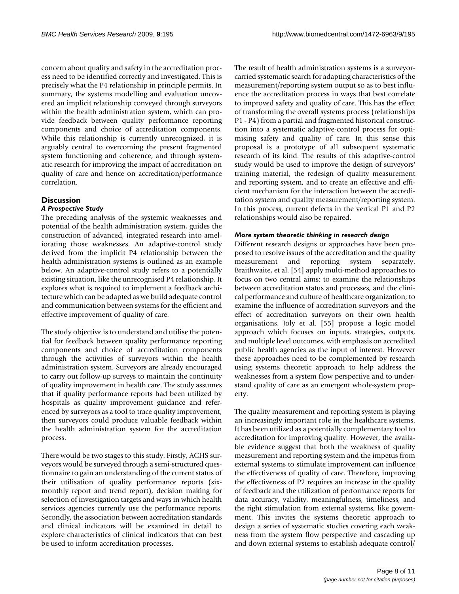concern about quality and safety in the accreditation process need to be identified correctly and investigated. This is precisely what the P4 relationship in principle permits. In summary, the systems modelling and evaluation uncovered an implicit relationship conveyed through surveyors within the health administration system, which can provide feedback between quality performance reporting components and choice of accreditation components. While this relationship is currently unrecognized, it is arguably central to overcoming the present fragmented system functioning and coherence, and through systematic research for improving the impact of accreditation on quality of care and hence on accreditation/performance correlation.

# **Discussion**

# *A Prospective Study*

The preceding analysis of the systemic weaknesses and potential of the health administration system, guides the construction of advanced, integrated research into ameliorating those weaknesses. An adaptive-control study derived from the implicit P4 relationship between the health administration systems is outlined as an example below. An adaptive-control study refers to a potentially existing situation, like the unrecognised P4 relationship. It explores what is required to implement a feedback architecture which can be adapted as we build adequate control and communication between systems for the efficient and effective improvement of quality of care.

The study objective is to understand and utilise the potential for feedback between quality performance reporting components and choice of accreditation components through the activities of surveyors within the health administration system. Surveyors are already encouraged to carry out follow-up surveys to maintain the continuity of quality improvement in health care. The study assumes that if quality performance reports had been utilized by hospitals as quality improvement guidance and referenced by surveyors as a tool to trace quality improvement, then surveyors could produce valuable feedback within the health administration system for the accreditation process.

There would be two stages to this study. Firstly, ACHS surveyors would be surveyed through a semi-structured questionnaire to gain an understanding of the current status of their utilisation of quality performance reports (sixmonthly report and trend report), decision making for selection of investigation targets and ways in which health services agencies currently use the performance reports. Secondly, the association between accreditation standards and clinical indicators will be examined in detail to explore characteristics of clinical indicators that can best be used to inform accreditation processes.

The result of health administration systems is a surveyorcarried systematic search for adapting characteristics of the measurement/reporting system output so as to best influence the accreditation process in ways that best correlate to improved safety and quality of care. This has the effect of transforming the overall systems process (relationships P1 - P4) from a partial and fragmented historical construction into a systematic adaptive-control process for optimising safety and quality of care. In this sense this proposal is a prototype of all subsequent systematic research of its kind. The results of this adaptive-control study would be used to improve the design of surveyors' training material, the redesign of quality measurement and reporting system, and to create an effective and efficient mechanism for the interaction between the accreditation system and quality measurement/reporting system. In this process, current defects in the vertical P1 and P2 relationships would also be repaired.

# *More system theoretic thinking in research design*

Different research designs or approaches have been proposed to resolve issues of the accreditation and the quality measurement and reporting system separately. Braithwaite, et al. [54] apply multi-method approaches to focus on two central aims: to examine the relationships between accreditation status and processes, and the clinical performance and culture of healthcare organization; to examine the influence of accreditation surveyors and the effect of accreditation surveyors on their own health organisations. Joly et al. [55] propose a logic model approach which focuses on inputs, strategies, outputs, and multiple level outcomes, with emphasis on accredited public health agencies as the input of interest. However these approaches need to be complemented by research using systems theoretic approach to help address the weaknesses from a system flow perspective and to understand quality of care as an emergent whole-system property.

The quality measurement and reporting system is playing an increasingly important role in the healthcare systems. It has been utilized as a potentially complementary tool to accreditation for improving quality. However, the available evidence suggest that both the weakness of quality measurement and reporting system and the impetus from external systems to stimulate improvement can influence the effectiveness of quality of care. Therefore, improving the effectiveness of P2 requires an increase in the quality of feedback and the utilization of performance reports for data accuracy, validity, meaningfulness, timeliness, and the right stimulation from external systems, like government. This invites the systems theoretic approach to design a series of systematic studies covering each weakness from the system flow perspective and cascading up and down external systems to establish adequate control/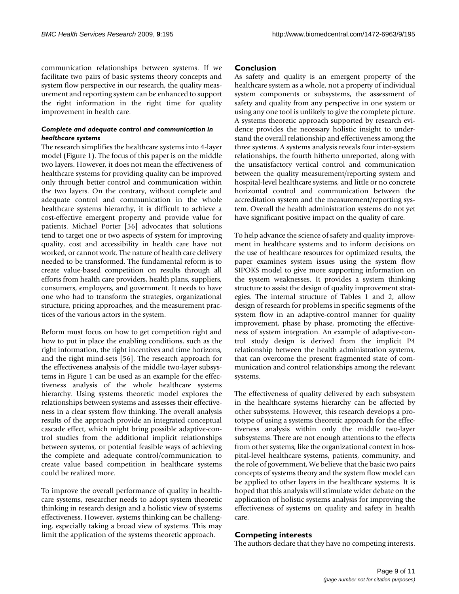communication relationships between systems. If we facilitate two pairs of basic systems theory concepts and system flow perspective in our research, the quality measurement and reporting system can be enhanced to support the right information in the right time for quality improvement in health care.

#### *Complete and adequate control and communication in healthcare systems*

The research simplifies the healthcare systems into 4-layer model (Figure 1). The focus of this paper is on the middle two layers. However, it does not mean the effectiveness of healthcare systems for providing quality can be improved only through better control and communication within the two layers. On the contrary, without complete and adequate control and communication in the whole healthcare systems hierarchy, it is difficult to achieve a cost-effective emergent property and provide value for patients. Michael Porter [56] advocates that solutions tend to target one or two aspects of system for improving quality, cost and accessibility in health care have not worked, or cannot work. The nature of health care delivery needed to be transformed. The fundamental reform is to create value-based competition on results through all efforts from health care providers, health plans, suppliers, consumers, employers, and government. It needs to have one who had to transform the strategies, organizational structure, pricing approaches, and the measurement practices of the various actors in the system.

Reform must focus on how to get competition right and how to put in place the enabling conditions, such as the right information, the right incentives and time horizons, and the right mind-sets [56]. The research approach for the effectiveness analysis of the middle two-layer subsystems in Figure 1 can be used as an example for the effectiveness analysis of the whole healthcare systems hierarchy. Using systems theoretic model explores the relationships between systems and assesses their effectiveness in a clear system flow thinking. The overall analysis results of the approach provide an integrated conceptual cascade effect, which might bring possible adaptive-control studies from the additional implicit relationships between systems, or potential feasible ways of achieving the complete and adequate control/communication to create value based competition in healthcare systems could be realized more.

To improve the overall performance of quality in healthcare systems, researcher needs to adopt system theoretic thinking in research design and a holistic view of systems effectiveness. However, systems thinking can be challenging, especially taking a broad view of systems. This may limit the application of the systems theoretic approach.

#### **Conclusion**

As safety and quality is an emergent property of the healthcare system as a whole, not a property of individual system components or subsystems, the assessment of safety and quality from any perspective in one system or using any one tool is unlikely to give the complete picture. A systems theoretic approach supported by research evidence provides the necessary holistic insight to understand the overall relationship and effectiveness among the three systems. A systems analysis reveals four inter-system relationships, the fourth hitherto unreported, along with the unsatisfactory vertical control and communication between the quality measurement/reporting system and hospital-level healthcare systems, and little or no concrete horizontal control and communication between the accreditation system and the measurement/reporting system. Overall the health administration systems do not yet have significant positive impact on the quality of care.

To help advance the science of safety and quality improvement in healthcare systems and to inform decisions on the use of healthcare resources for optimized results, the paper examines system issues using the system flow SIPOKS model to give more supporting information on the system weaknesses. It provides a system thinking structure to assist the design of quality improvement strategies. The internal structure of Tables 1 and 2, allow design of research for problems in specific segments of the system flow in an adaptive-control manner for quality improvement, phase by phase, promoting the effectiveness of system integration. An example of adaptive-control study design is derived from the implicit P4 relationship between the health administration systems, that can overcome the present fragmented state of communication and control relationships among the relevant systems.

The effectiveness of quality delivered by each subsystem in the healthcare systems hierarchy can be affected by other subsystems. However, this research develops a prototype of using a systems theoretic approach for the effectiveness analysis within only the middle two-layer subsystems. There are not enough attentions to the effects from other systems; like the organizational context in hospital-level healthcare systems, patients, community, and the role of government, We believe that the basic two pairs concepts of systems theory and the system flow model can be applied to other layers in the healthcare systems. It is hoped that this analysis will stimulate wider debate on the application of holistic systems analysis for improving the effectiveness of systems on quality and safety in health care.

#### **Competing interests**

The authors declare that they have no competing interests.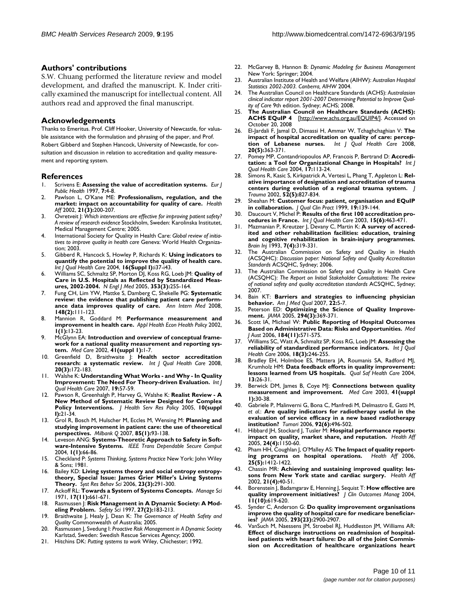#### **Authors' contributions**

S.W. Chuang performed the literature review and model development, and drafted the manuscript. K. Inder critically examined the manuscript for intellectual content. All authors read and approved the final manuscript.

#### **Acknowledgements**

Thanks to Emeritus. Prof. Cliff Hooker, University of Newcastle, for valuable assistance with the formulation and phrasing of the paper, and Prof. Robert Gibberd and Stephen Hancock, University of Newcastle, for consultation and discussion in relation to accreditation and quality measurement and reporting system.

#### **References**

- 1. Scrivens E: **Assessing the value of accreditation systems.** *Eur J Public Health* 1997, **7:**4-8.
- 2. Pawlson L, O'Kane ME: **Professionalism, regulation, and the market: impact on accountability for quality of care.** *Health Aff* 2002, **21(3):**200-207.
- 3. Ovretveit J: *Which interventions are effective for improving patient safety? A review of research evidence* Stockholm, Sweden: Karolinska Institutet, Medical Management Centre; 2005.
- 4. International Society for Quality in Health Care: *Global review of initiatives to improve quality in health care* Geneva: World Health Organization; 2003.
- 5. Gibberd R, Hancock S, Howley P, Richards K: **[Using indicators to](http://www.ncbi.nlm.nih.gov/entrez/query.fcgi?cmd=Retrieve&db=PubMed&dopt=Abstract&list_uids=15059985) [quantify the potential to improve the quality of health care.](http://www.ncbi.nlm.nih.gov/entrez/query.fcgi?cmd=Retrieve&db=PubMed&dopt=Abstract&list_uids=15059985)** *Int J Qual Health Care* 2004, **16(Suppl I):**i37-i43.
- 6. Williams SC, Schmaltz SP, Morton DJ, Koss RG, Loeb JM: **[Quality of](http://www.ncbi.nlm.nih.gov/entrez/query.fcgi?cmd=Retrieve&db=PubMed&dopt=Abstract&list_uids=16034011) [Care in U.S. Hospitals as Reflected by Standardized Meas](http://www.ncbi.nlm.nih.gov/entrez/query.fcgi?cmd=Retrieve&db=PubMed&dopt=Abstract&list_uids=16034011)[ures, 2002-2004.](http://www.ncbi.nlm.nih.gov/entrez/query.fcgi?cmd=Retrieve&db=PubMed&dopt=Abstract&list_uids=16034011)** *N Engl J Med* 2005, **353(3):**255-164.
- 7. Fung CH, Lim YW, Mattke S, Damberg C, Shekelle PG: **[Systematic](http://www.ncbi.nlm.nih.gov/entrez/query.fcgi?cmd=Retrieve&db=PubMed&dopt=Abstract&list_uids=18195336) [review: the evidence that publishing patient care perform](http://www.ncbi.nlm.nih.gov/entrez/query.fcgi?cmd=Retrieve&db=PubMed&dopt=Abstract&list_uids=18195336)[ance data improves quality of care.](http://www.ncbi.nlm.nih.gov/entrez/query.fcgi?cmd=Retrieve&db=PubMed&dopt=Abstract&list_uids=18195336)** *Ann Intern Med* 2008, **148(2):**111-123.
- 8. Mannion R, Goddard M: **[Performance measurement and](http://www.ncbi.nlm.nih.gov/entrez/query.fcgi?cmd=Retrieve&db=PubMed&dopt=Abstract&list_uids=14618744) [improvement in health care.](http://www.ncbi.nlm.nih.gov/entrez/query.fcgi?cmd=Retrieve&db=PubMed&dopt=Abstract&list_uids=14618744)** *Appl Health Econ Health Policy* 2002, **1(1):**13-23.
- McGlynn EA: Introduction and overview of conceptual frame**work for a national quality measurement and reporting system.** *Med Care* 2002, **41(suppl 1):**1-7.
- 10. Greenfield D, Braithwaite J: **[Health sector accreditation](http://www.ncbi.nlm.nih.gov/entrez/query.fcgi?cmd=Retrieve&db=PubMed&dopt=Abstract&list_uids=18339666) [research: a systematic review.](http://www.ncbi.nlm.nih.gov/entrez/query.fcgi?cmd=Retrieve&db=PubMed&dopt=Abstract&list_uids=18339666)** *Int J Qual Health Care* 2008, **20(3):**172-183.
- 11. Walshe K: **[Understanding What Works and Why In Quality](http://www.ncbi.nlm.nih.gov/entrez/query.fcgi?cmd=Retrieve&db=PubMed&dopt=Abstract&list_uids=17337518) [Improvement: The Need For Theory-driven Evaluation.](http://www.ncbi.nlm.nih.gov/entrez/query.fcgi?cmd=Retrieve&db=PubMed&dopt=Abstract&list_uids=17337518)** *Int J Qual Health Care* 2007, **19:**57-59.
- 12. Pawson R, Greenhalgh P, Harvey G, Walshe K: **[Realist Review A](http://www.ncbi.nlm.nih.gov/entrez/query.fcgi?cmd=Retrieve&db=PubMed&dopt=Abstract&list_uids=16053581) [New Method of Systematic Review Designed for Complex](http://www.ncbi.nlm.nih.gov/entrez/query.fcgi?cmd=Retrieve&db=PubMed&dopt=Abstract&list_uids=16053581) [Policy Interventions.](http://www.ncbi.nlm.nih.gov/entrez/query.fcgi?cmd=Retrieve&db=PubMed&dopt=Abstract&list_uids=16053581)** *J Health Serv Res Policy* 2005, **10(suppl I):**21-34.
- 13. Grol R, Bosch M, Hulscher M, Eccles M, Wensing M: **[Planning and](http://www.ncbi.nlm.nih.gov/entrez/query.fcgi?cmd=Retrieve&db=PubMed&dopt=Abstract&list_uids=17319808) [studying improvement in patient care: the use of theoretical](http://www.ncbi.nlm.nih.gov/entrez/query.fcgi?cmd=Retrieve&db=PubMed&dopt=Abstract&list_uids=17319808) [perspectives.](http://www.ncbi.nlm.nih.gov/entrez/query.fcgi?cmd=Retrieve&db=PubMed&dopt=Abstract&list_uids=17319808)** *Milbank Q* 2007, **85(1):**93-138.
- 14. Leveson ANG: **Systems-Theoretic Approach to Safety in Software-Intensive Systems.** *IEEE Trans Dependable Secure Comput* 2004, **1(1):**66-86.
- 15. Checkland P: *Systems Thinking, Systems Practice* New York: John Wiley & Sons; 1981.
- 16. Bailey KD: **Living systems theory and social entropy entropytheory, Special Issue: James Grier Miller's Living Systems Theory.** *Syst Res Behav Sci* 2006, **23(3):**291-300.
- 17. Ackoff RL: **Towards a System of Systems Concepts.** *Manage Sci* 1971, **17(11):**661-671.
- 18. Rasmussen J: **Risk Management in A Dynamic Society: A Modeling Problem.** *Safety Sci* 1997, **27(2):**183-213.
- 19. Braithwaite J, Healy J, Dean K: *The Governance of Health Safety and Quality* Commonwealth of Australia; 2005.
- 20. Rasmussen J, Svedung I: *Proactive Risk Management in A Dynamic Society* Karlstad, Sweden: Swedish Rescue Services Agency; 2000.
- 21. Hitchins DK: *Putting systems to work* Wiley, Chichester; 1992.
- 22. McGarvey B, Hannon B: *Dynamic Modeling for Business Management* New York: Springer; 2004.
- 23. Australian Institute of Health and Welfare (AIHW): *Australian Hospital Statistics 2002-2003. Canberra, AIHW* 2004.
- 24. The Australian Council on Healthcare Standards (ACHS): *Australasian clinical indicator report 2001-2007 Determining Potential to Improve Quality of Care* 9th edition. Sydney; ACHS; 2008.
- 25. **The Australian Council on Healthcare Standards (ACHS): ACHS EQuIP 4** [\[http://www.achs.org.au/EQUIP4/\]](http://www.achs.org.au/EQUIP4/). Accessed on October 20, 2008
- 26. El-Jardali F, Jamal D, Dimassi H, Ammar W, Tchaghchaghian V: **[The](http://www.ncbi.nlm.nih.gov/entrez/query.fcgi?cmd=Retrieve&db=PubMed&dopt=Abstract&list_uids=18596050) [impact of hospital accreditation on quality of care: percep](http://www.ncbi.nlm.nih.gov/entrez/query.fcgi?cmd=Retrieve&db=PubMed&dopt=Abstract&list_uids=18596050)[tion of Lebanese nurses.](http://www.ncbi.nlm.nih.gov/entrez/query.fcgi?cmd=Retrieve&db=PubMed&dopt=Abstract&list_uids=18596050)** *Int J Qual Health Care* 2008, **20(5):**363-371.
- 27. Pomey MP, Contandriopoulos AP, Francois P, Bertrand D: **Accreditation: a Tool for Organizational Change in Hospitals?** *Int J Qual Health Care* 2004, **17:**113-24.
- Simons R, Kasic S, Kirkpatrick A, Vertesi L, Phang T, Appleton L: [Rel](http://www.ncbi.nlm.nih.gov/entrez/query.fcgi?cmd=Retrieve&db=PubMed&dopt=Abstract&list_uids=11988645)**[ative importance of designation and accreditation of trauma](http://www.ncbi.nlm.nih.gov/entrez/query.fcgi?cmd=Retrieve&db=PubMed&dopt=Abstract&list_uids=11988645) [centers during evolution of a regional trauma system.](http://www.ncbi.nlm.nih.gov/entrez/query.fcgi?cmd=Retrieve&db=PubMed&dopt=Abstract&list_uids=11988645)** *J Trauma* 2002, **52(5):**827-834.
- 29. Sheahan M: **[Customer focus: patient, organisation and EQuIP](http://www.ncbi.nlm.nih.gov/entrez/query.fcgi?cmd=Retrieve&db=PubMed&dopt=Abstract&list_uids=10482321) [in collaboration.](http://www.ncbi.nlm.nih.gov/entrez/query.fcgi?cmd=Retrieve&db=PubMed&dopt=Abstract&list_uids=10482321)** *J Qual Clin Pract* 1999, **19:**139-144.
- 30. Daucourt V, Michel P: **[Results of the first 100 accreditation pro](http://www.ncbi.nlm.nih.gov/entrez/query.fcgi?cmd=Retrieve&db=PubMed&dopt=Abstract&list_uids=14660529)[cedures in France.](http://www.ncbi.nlm.nih.gov/entrez/query.fcgi?cmd=Retrieve&db=PubMed&dopt=Abstract&list_uids=14660529)** *Int J Qual Health Care* 2003, **15(6):**463-471.
- 31. Mazmanian P, Kreutzer J, Devany C, Martin K: **[A survey of accred](http://www.ncbi.nlm.nih.gov/entrez/query.fcgi?cmd=Retrieve&db=PubMed&dopt=Abstract&list_uids=8358405)ited and other rehabilitation facilities: education, training [and cognitive rehabilitation in brain-injury programmes.](http://www.ncbi.nlm.nih.gov/entrez/query.fcgi?cmd=Retrieve&db=PubMed&dopt=Abstract&list_uids=8358405)** *Brain Inj* 1993, **7(4):**319-331.
- 32. The Australian Commission on Safety and Quality in Health (ACSQHC): *Discussion paper: National Safety and Quality Accreditation Standards* ACSQHC, Sydney; 2006.
- 33. The Australian Commission on Safety and Quality in Health Care (ACSQHC): *The Report on Initial Stakeholder Consultations: The review of national safety and quality accreditation standards* ACSQHC, Sydney; 2007.
- 34. Bain KT: **[Barriers and strategies to influencing physician](http://www.ncbi.nlm.nih.gov/entrez/query.fcgi?cmd=Retrieve&db=PubMed&dopt=Abstract&list_uids=17227871) [behavior.](http://www.ncbi.nlm.nih.gov/entrez/query.fcgi?cmd=Retrieve&db=PubMed&dopt=Abstract&list_uids=17227871)** *Am J Med Qual* 2007, **22:**5-7.
- 35. Peterson ED: **[Optimizing the Science of Quality Improve](http://www.ncbi.nlm.nih.gov/entrez/query.fcgi?cmd=Retrieve&db=PubMed&dopt=Abstract&list_uids=16030283)[ment.](http://www.ncbi.nlm.nih.gov/entrez/query.fcgi?cmd=Retrieve&db=PubMed&dopt=Abstract&list_uids=16030283)** *JAMA* 2005, **294(3):**369-371.
- 36. Scott IA, Michael W: **[Public Reporting of Hospital Outcomes](http://www.ncbi.nlm.nih.gov/entrez/query.fcgi?cmd=Retrieve&db=PubMed&dopt=Abstract&list_uids=16768665) [Based on Administrative Data: Risks and Opportunities.](http://www.ncbi.nlm.nih.gov/entrez/query.fcgi?cmd=Retrieve&db=PubMed&dopt=Abstract&list_uids=16768665)** *Med J Aust* 2006, **184(11):**571-575.
- 37. Williams SC, Watt A, Schmaltz SP, Koss RG, Loeb JM: **[Assessing the](http://www.ncbi.nlm.nih.gov/entrez/query.fcgi?cmd=Retrieve&db=PubMed&dopt=Abstract&list_uids=16431865) [reliability of standardized performance indicators.](http://www.ncbi.nlm.nih.gov/entrez/query.fcgi?cmd=Retrieve&db=PubMed&dopt=Abstract&list_uids=16431865)** *Int J Qual Health Care* 2006, **18(3):**246-255.
- 38. Bradley EH, Holmboe ES, Mattera JA, Roumanis SA, Radford MJ, Krumholz HM: **[Data feedback efforts in quality improvement:](http://www.ncbi.nlm.nih.gov/entrez/query.fcgi?cmd=Retrieve&db=PubMed&dopt=Abstract&list_uids=14757796) [lessons learned from US hospitals.](http://www.ncbi.nlm.nih.gov/entrez/query.fcgi?cmd=Retrieve&db=PubMed&dopt=Abstract&list_uids=14757796)** *Qual Saf Health Care* 2004, **13:**26-31.
- 39. Berwick DM, James B, Coye MJ: **Connections between quality measurement and improvement.** *Med Care* 2003, **41(suppl 1):**30-38.
- 40. Gabriele P, Malinverni G, Bona C, Manfredi M, Delmastro E, Gatti M, *et al.*: **[Are quality indicators for radiotherapy useful in the](http://www.ncbi.nlm.nih.gov/entrez/query.fcgi?cmd=Retrieve&db=PubMed&dopt=Abstract&list_uids=17260490) [evaluation of service efficacy in a new based radiotherapy](http://www.ncbi.nlm.nih.gov/entrez/query.fcgi?cmd=Retrieve&db=PubMed&dopt=Abstract&list_uids=17260490) [institution?](http://www.ncbi.nlm.nih.gov/entrez/query.fcgi?cmd=Retrieve&db=PubMed&dopt=Abstract&list_uids=17260490)** *Tumori* 2006, **92(6):**496-502.
- 41. Hibbard JH, Stockard J, Tusler M: **Hospital performance reports: impact on quality, market share, and reputation.** *Health Aff* 2005, **24(4):**1150-60.
- 42. Pham HH, Coughlan J, O'Malley AS: **The Impact of quality reporting programs on hospital operations.** *Health Aff* 2006, **25(5):**1412-1422.
- 43. Chassin MR: **Achieving and sustaining improved quality: lessons from New York state and cardiac surgery.** *Health Aff* 2002, **21(4):**40-51.
- 44. Borenstein J, Badamgarav E, Henning J, Sequist T: **How effective are quality improvement initiatives?** *J Clin Outcomes Manag* 2004, **11(10):**619-620.
- 45. Synder C, Anderson G: **[Do quality improvement organisations](http://www.ncbi.nlm.nih.gov/entrez/query.fcgi?cmd=Retrieve&db=PubMed&dopt=Abstract&list_uids=15956635) [improve the quality of hospital care for medicare beneficiar](http://www.ncbi.nlm.nih.gov/entrez/query.fcgi?cmd=Retrieve&db=PubMed&dopt=Abstract&list_uids=15956635)[ies?](http://www.ncbi.nlm.nih.gov/entrez/query.fcgi?cmd=Retrieve&db=PubMed&dopt=Abstract&list_uids=15956635)** *JAMA* 2005, **293(23):**2900-2907.
- 46. VanSuch M, Naessens JM, Stroebel RJ, Huddleston JM, Williams AR: **[Effect of discharge instructions on readmission of hospital](http://www.ncbi.nlm.nih.gov/entrez/query.fcgi?cmd=Retrieve&db=PubMed&dopt=Abstract&list_uids=17142589)ised patients with heart failure: Do all of the Joint Commis[sion on Accreditation of healthcare organizations heart](http://www.ncbi.nlm.nih.gov/entrez/query.fcgi?cmd=Retrieve&db=PubMed&dopt=Abstract&list_uids=17142589)**